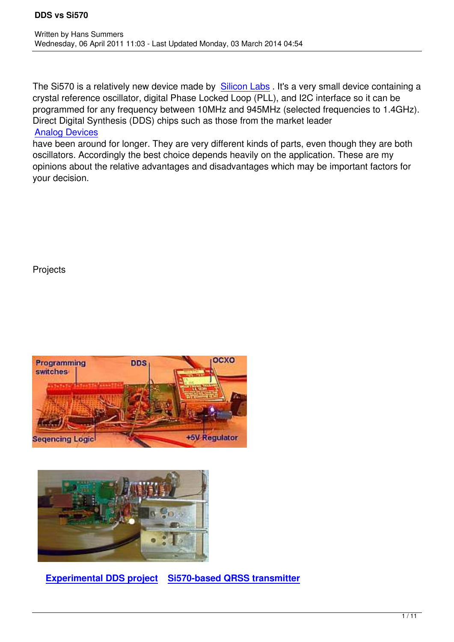The Si570 is a relatively new device made by Silicon Labs . It's a very small device containing a crystal reference oscillator, digital Phase Locked Loop (PLL), and I2C interface so it can be programmed for any frequency between 10MHz and 945MHz (selected frequencies to 1.4GHz). Direct Digital Synthesis (DDS) chips such as t[hose from the](http://www.silabs.com/products/clocksoscillators/Pages/default.aspx) market leader Analog Devices

have been around for longer. They are very different kinds of parts, even though they are both oscillators. Accordingly the best choice depends heavily on the application. These are my [opinions about th](http://www.analog.com/en/rfif-components/direct-digital-synthesis-dds/products/index.html)e relative advantages and disadvantages which may be important factors for your decision.

**Projects** 





**Experimental DDS project Si570-based QRSS transmitter**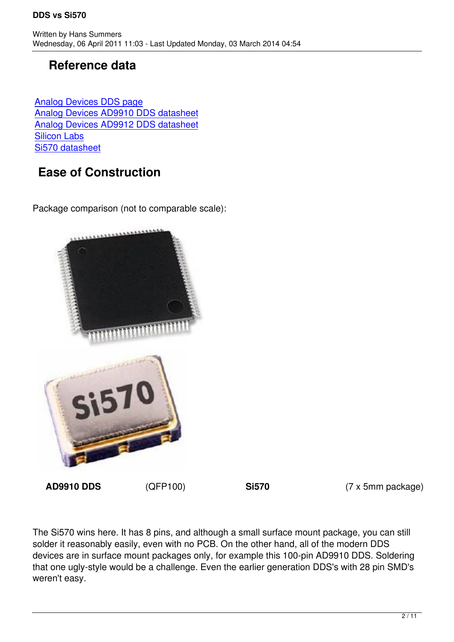### **Reference data**

Analog Devices DDS page Analog Devices AD9910 DDS datasheet Analog Devices AD9912 DDS datasheet [Silicon Labs](http://www.analog.com/en/rfif-components/direct-digital-synthesis-dds/products/index.html) [Si570 datasheet](http://www.analog.com/static/imported-files/data_sheets/AD9910.pdf)

## **[Ease of](http://www.silabs.com) [Construction](http://www.analog.com/static/imported-files/data_sheets/AD9912.pdf)**

Package comparison (not to comparable scale):



**AD9910 DDS** (QFP100) **Si570** (7 x 5mm package)

The Si570 wins here. It has 8 pins, and although a small surface mount package, you can still solder it reasonably easily, even with no PCB. On the other hand, all of the modern DDS devices are in surface mount packages only, for example this 100-pin AD9910 DDS. Soldering that one ugly-style would be a challenge. Even the earlier generation DDS's with 28 pin SMD's weren't easy.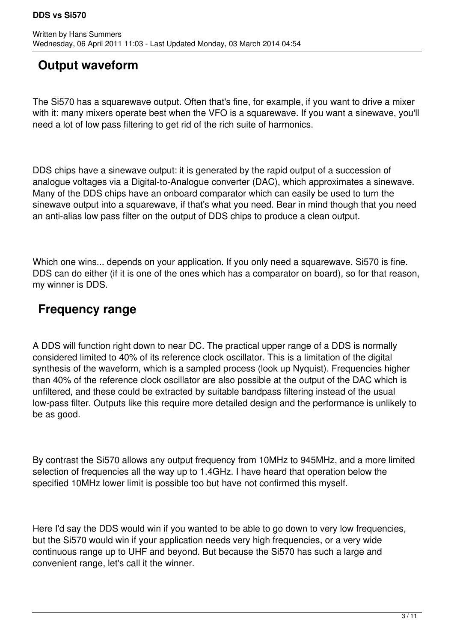## **Output waveform**

The Si570 has a squarewave output. Often that's fine, for example, if you want to drive a mixer with it: many mixers operate best when the VFO is a squarewave. If you want a sinewave, you'll need a lot of low pass filtering to get rid of the rich suite of harmonics.

DDS chips have a sinewave output: it is generated by the rapid output of a succession of analogue voltages via a Digital-to-Analogue converter (DAC), which approximates a sinewave. Many of the DDS chips have an onboard comparator which can easily be used to turn the sinewave output into a squarewave, if that's what you need. Bear in mind though that you need an anti-alias low pass filter on the output of DDS chips to produce a clean output.

Which one wins... depends on your application. If you only need a squarewave, Si570 is fine. DDS can do either (if it is one of the ones which has a comparator on board), so for that reason, my winner is DDS.

## **Frequency range**

A DDS will function right down to near DC. The practical upper range of a DDS is normally considered limited to 40% of its reference clock oscillator. This is a limitation of the digital synthesis of the waveform, which is a sampled process (look up Nyquist). Frequencies higher than 40% of the reference clock oscillator are also possible at the output of the DAC which is unfiltered, and these could be extracted by suitable bandpass filtering instead of the usual low-pass filter. Outputs like this require more detailed design and the performance is unlikely to be as good.

By contrast the Si570 allows any output frequency from 10MHz to 945MHz, and a more limited selection of frequencies all the way up to 1.4GHz. I have heard that operation below the specified 10MHz lower limit is possible too but have not confirmed this myself.

Here I'd say the DDS would win if you wanted to be able to go down to very low frequencies, but the Si570 would win if your application needs very high frequencies, or a very wide continuous range up to UHF and beyond. But because the Si570 has such a large and convenient range, let's call it the winner.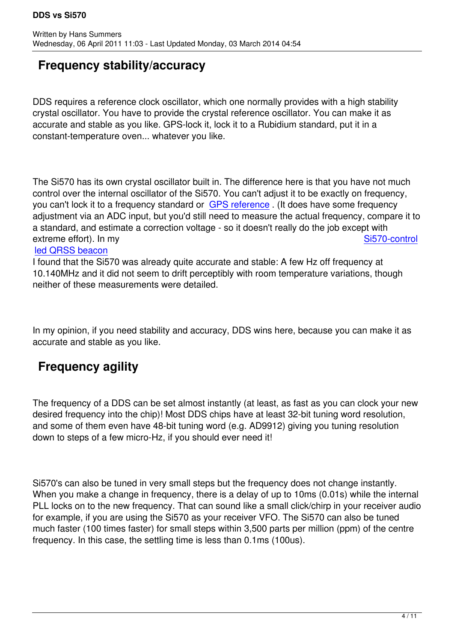# **Frequency stability/accuracy**

DDS requires a reference clock oscillator, which one normally provides with a high stability crystal oscillator. You have to provide the crystal reference oscillator. You can make it as accurate and stable as you like. GPS-lock it, lock it to a Rubidium standard, put it in a constant-temperature oven... whatever you like.

The Si570 has its own crystal oscillator built in. The difference here is that you have not much control over the internal oscillator of the Si570. You can't adjust it to be exactly on frequency, you can't lock it to a frequency standard or GPS reference. (It does have some frequency adjustment via an ADC input, but you'd still need to measure the actual frequency, compare it to a standard, and estimate a correction voltage - so it doesn't really do the job except with extreme effort). In my Si570-control

### led QRSS beacon

I found that the Si570 was already quite accurate and stable: A few Hz off frequency at 10.140MHz and it did not seem to drift perceptibly with room temperature variatio[ns, though](qrss570.html) [neither of these me](qrss570.html)asurements were detailed.

In my opinion, if you need stability and accuracy, DDS wins here, because you can make it as accurate and stable as you like.

# **Frequency agility**

The frequency of a DDS can be set almost instantly (at least, as fast as you can clock your new desired frequency into the chip)! Most DDS chips have at least 32-bit tuning word resolution, and some of them even have 48-bit tuning word (e.g. AD9912) giving you tuning resolution down to steps of a few micro-Hz, if you should ever need it!

Si570's can also be tuned in very small steps but the frequency does not change instantly. When you make a change in frequency, there is a delay of up to 10ms (0.01s) while the internal PLL locks on to the new frequency. That can sound like a small click/chirp in your receiver audio for example, if you are using the Si570 as your receiver VFO. The Si570 can also be tuned much faster (100 times faster) for small steps within 3,500 parts per million (ppm) of the centre frequency. In this case, the settling time is less than 0.1ms (100us).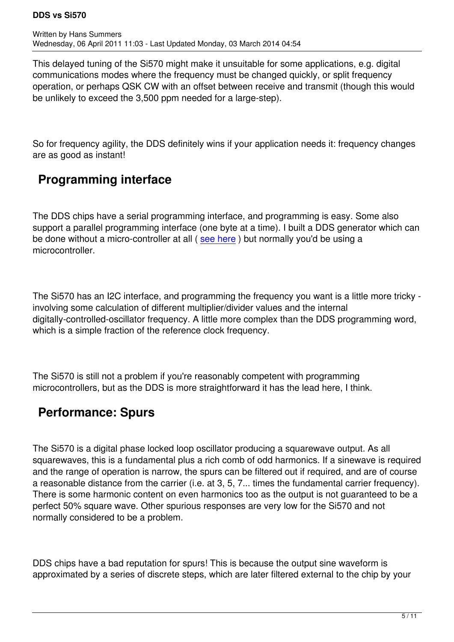This delayed tuning of the Si570 might make it unsuitable for some applications, e.g. digital communications modes where the frequency must be changed quickly, or split frequency operation, or perhaps QSK CW with an offset between receive and transmit (though this would be unlikely to exceed the 3,500 ppm needed for a large-step).

So for frequency agility, the DDS definitely wins if your application needs it: frequency changes are as good as instant!

### **Programming interface**

The DDS chips have a serial programming interface, and programming is easy. Some also support a parallel programming interface (one byte at a time). I built a DDS generator which can be done without a micro-controller at all (see here) but normally you'd be using a microcontroller.

The Si570 has an I2C interface, and programming the frequency you want is a little more tricky involving some calculation of different multiplier/divider values and the internal digitally-controlled-oscillator frequency. A little more complex than the DDS programming word, which is a simple fraction of the reference clock frequency.

The Si570 is still not a problem if you're reasonably competent with programming microcontrollers, but as the DDS is more straightforward it has the lead here, I think.

## **Performance: Spurs**

The Si570 is a digital phase locked loop oscillator producing a squarewave output. As all squarewaves, this is a fundamental plus a rich comb of odd harmonics. If a sinewave is required and the range of operation is narrow, the spurs can be filtered out if required, and are of course a reasonable distance from the carrier (i.e. at 3, 5, 7... times the fundamental carrier frequency). There is some harmonic content on even harmonics too as the output is not guaranteed to be a perfect 50% square wave. Other spurious responses are very low for the Si570 and not normally considered to be a problem.

DDS chips have a bad reputation for spurs! This is because the output sine waveform is approximated by a series of discrete steps, which are later filtered external to the chip by your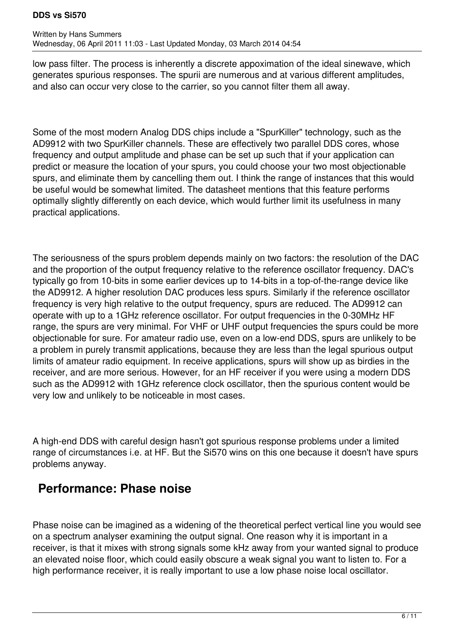#### **DDS vs Si570**

low pass filter. The process is inherently a discrete appoximation of the ideal sinewave, which generates spurious responses. The spurii are numerous and at various different amplitudes, and also can occur very close to the carrier, so you cannot filter them all away.

Some of the most modern Analog DDS chips include a "SpurKiller" technology, such as the AD9912 with two SpurKiller channels. These are effectively two parallel DDS cores, whose frequency and output amplitude and phase can be set up such that if your application can predict or measure the location of your spurs, you could choose your two most objectionable spurs, and eliminate them by cancelling them out. I think the range of instances that this would be useful would be somewhat limited. The datasheet mentions that this feature performs optimally slightly differently on each device, which would further limit its usefulness in many practical applications.

The seriousness of the spurs problem depends mainly on two factors: the resolution of the DAC and the proportion of the output frequency relative to the reference oscillator frequency. DAC's typically go from 10-bits in some earlier devices up to 14-bits in a top-of-the-range device like the AD9912. A higher resolution DAC produces less spurs. Similarly if the reference oscillator frequency is very high relative to the output frequency, spurs are reduced. The AD9912 can operate with up to a 1GHz reference oscillator. For output frequencies in the 0-30MHz HF range, the spurs are very minimal. For VHF or UHF output frequencies the spurs could be more objectionable for sure. For amateur radio use, even on a low-end DDS, spurs are unlikely to be a problem in purely transmit applications, because they are less than the legal spurious output limits of amateur radio equipment. In receive applications, spurs will show up as birdies in the receiver, and are more serious. However, for an HF receiver if you were using a modern DDS such as the AD9912 with 1GHz reference clock oscillator, then the spurious content would be very low and unlikely to be noticeable in most cases.

A high-end DDS with careful design hasn't got spurious response problems under a limited range of circumstances i.e. at HF. But the Si570 wins on this one because it doesn't have spurs problems anyway.

### **Performance: Phase noise**

Phase noise can be imagined as a widening of the theoretical perfect vertical line you would see on a spectrum analyser examining the output signal. One reason why it is important in a receiver, is that it mixes with strong signals some kHz away from your wanted signal to produce an elevated noise floor, which could easily obscure a weak signal you want to listen to. For a high performance receiver, it is really important to use a low phase noise local oscillator.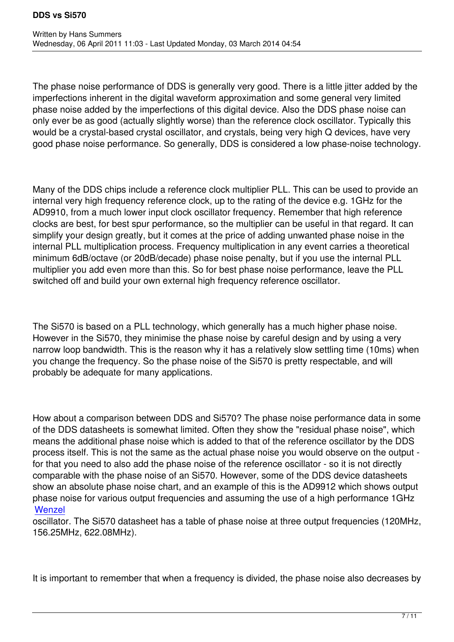The phase noise performance of DDS is generally very good. There is a little jitter added by the imperfections inherent in the digital waveform approximation and some general very limited phase noise added by the imperfections of this digital device. Also the DDS phase noise can only ever be as good (actually slightly worse) than the reference clock oscillator. Typically this would be a crystal-based crystal oscillator, and crystals, being very high Q devices, have very good phase noise performance. So generally, DDS is considered a low phase-noise technology.

Many of the DDS chips include a reference clock multiplier PLL. This can be used to provide an internal very high frequency reference clock, up to the rating of the device e.g. 1GHz for the AD9910, from a much lower input clock oscillator frequency. Remember that high reference clocks are best, for best spur performance, so the multiplier can be useful in that regard. It can simplify your design greatly, but it comes at the price of adding unwanted phase noise in the internal PLL multiplication process. Frequency multiplication in any event carries a theoretical minimum 6dB/octave (or 20dB/decade) phase noise penalty, but if you use the internal PLL multiplier you add even more than this. So for best phase noise performance, leave the PLL switched off and build your own external high frequency reference oscillator.

The Si570 is based on a PLL technology, which generally has a much higher phase noise. However in the Si570, they minimise the phase noise by careful design and by using a very narrow loop bandwidth. This is the reason why it has a relatively slow settling time (10ms) when you change the frequency. So the phase noise of the Si570 is pretty respectable, and will probably be adequate for many applications.

How about a comparison between DDS and Si570? The phase noise performance data in some of the DDS datasheets is somewhat limited. Often they show the "residual phase noise", which means the additional phase noise which is added to that of the reference oscillator by the DDS process itself. This is not the same as the actual phase noise you would observe on the output for that you need to also add the phase noise of the reference oscillator - so it is not directly comparable with the phase noise of an Si570. However, some of the DDS device datasheets show an absolute phase noise chart, and an example of this is the AD9912 which shows output phase noise for various output frequencies and assuming the use of a high performance 1GHz **Wenzel** 

#### oscillator. The Si570 datasheet has a table of phase noise at three output frequencies (120MHz, 156.25MHz, 622.08MHz).

It is important to remember that when a frequency is divided, the phase noise also decreases by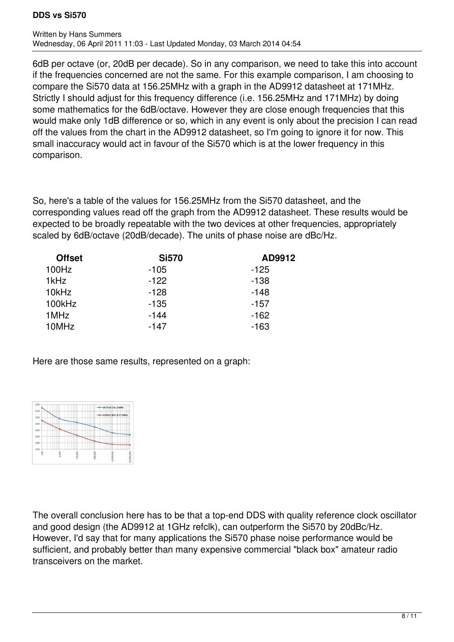#### **DDS vs Si570**

6dB per octave (or, 20dB per decade). So in any comparison, we need to take this into account if the frequencies concerned are not the same. For this example comparison, I am choosing to compare the Si570 data at 156.25MHz with a graph in the AD9912 datasheet at 171MHz. Strictly I should adjust for this frequency difference (i.e. 156.25MHz and 171MHz) by doing some mathematics for the 6dB/octave. However they are close enough frequencies that this would make only 1dB difference or so, which in any event is only about the precision I can read off the values from the chart in the AD9912 datasheet, so I'm going to ignore it for now. This small inaccuracy would act in favour of the Si570 which is at the lower frequency in this comparison.

So, here's a table of the values for 156.25MHz from the Si570 datasheet, and the corresponding values read off the graph from the AD9912 datasheet. These results would be expected to be broadly repeatable with the two devices at other frequencies, appropriately scaled by 6dB/octave (20dB/decade). The units of phase noise are dBc/Hz.

| <b>Offset</b> | <b>Si570</b> | AD9912 |  |
|---------------|--------------|--------|--|
| 100Hz         | $-105$       | $-125$ |  |
| 1kHz          | $-122$       | $-138$ |  |
| 10kHz         | $-128$       | $-148$ |  |
| 100kHz        | $-135$       | $-157$ |  |
| 1MHz          | $-144$       | $-162$ |  |
| 10MHz         | $-147$       | $-163$ |  |

Here are those same results, represented on a graph:



The overall conclusion here has to be that a top-end DDS with quality reference clock oscillator and good design (the AD9912 at 1GHz refclk), can outperform the Si570 by 20dBc/Hz. However, I'd say that for many applications the Si570 phase noise performance would be sufficient, and probably better than many expensive commercial "black box" amateur radio transceivers on the market.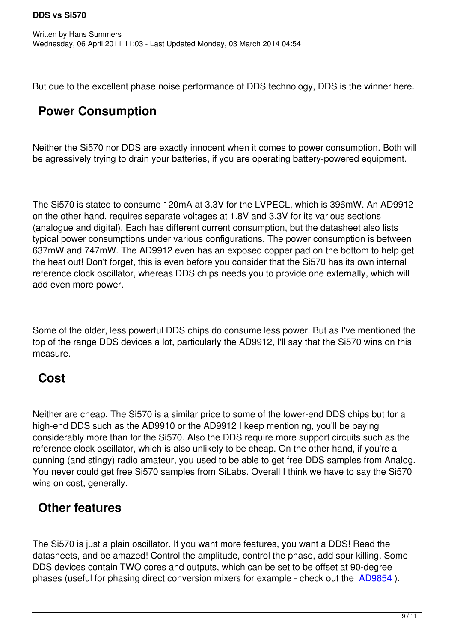But due to the excellent phase noise performance of DDS technology, DDS is the winner here.

# **Power Consumption**

Neither the Si570 nor DDS are exactly innocent when it comes to power consumption. Both will be agressively trying to drain your batteries, if you are operating battery-powered equipment.

The Si570 is stated to consume 120mA at 3.3V for the LVPECL, which is 396mW. An AD9912 on the other hand, requires separate voltages at 1.8V and 3.3V for its various sections (analogue and digital). Each has different current consumption, but the datasheet also lists typical power consumptions under various configurations. The power consumption is between 637mW and 747mW. The AD9912 even has an exposed copper pad on the bottom to help get the heat out! Don't forget, this is even before you consider that the Si570 has its own internal reference clock oscillator, whereas DDS chips needs you to provide one externally, which will add even more power.

Some of the older, less powerful DDS chips do consume less power. But as I've mentioned the top of the range DDS devices a lot, particularly the AD9912, I'll say that the Si570 wins on this measure.

## **Cost**

Neither are cheap. The Si570 is a similar price to some of the lower-end DDS chips but for a high-end DDS such as the AD9910 or the AD9912 I keep mentioning, you'll be paying considerably more than for the Si570. Also the DDS require more support circuits such as the reference clock oscillator, which is also unlikely to be cheap. On the other hand, if you're a cunning (and stingy) radio amateur, you used to be able to get free DDS samples from Analog. You never could get free Si570 samples from SiLabs. Overall I think we have to say the Si570 wins on cost, generally.

## **Other features**

The Si570 is just a plain oscillator. If you want more features, you want a DDS! Read the datasheets, and be amazed! Control the amplitude, control the phase, add spur killing. Some DDS devices contain TWO cores and outputs, which can be set to be offset at 90-degree phases (useful for phasing direct conversion mixers for example - check out the AD9854 ).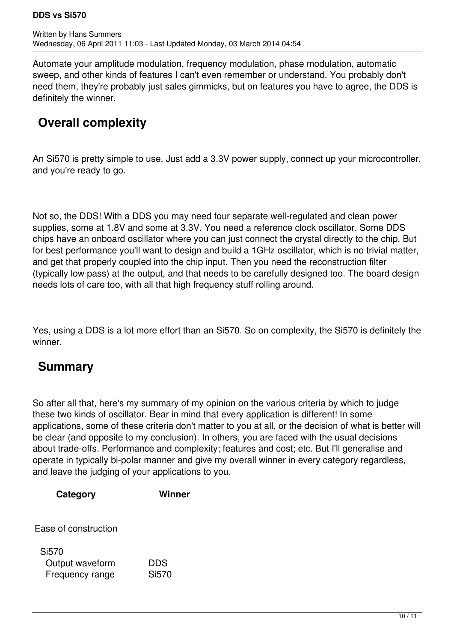Automate your amplitude modulation, frequency modulation, phase modulation, automatic sweep, and other kinds of features I can't even remember or understand. You probably don't need them, they're probably just sales gimmicks, but on features you have to agree, the DDS is definitely the winner.

## **Overall complexity**

An Si570 is pretty simple to use. Just add a 3.3V power supply, connect up your microcontroller, and you're ready to go.

Not so, the DDS! With a DDS you may need four separate well-regulated and clean power supplies, some at 1.8V and some at 3.3V. You need a reference clock oscillator. Some DDS chips have an onboard oscillator where you can just connect the crystal directly to the chip. But for best performance you'll want to design and build a 1GHz oscillator, which is no trivial matter, and get that properly coupled into the chip input. Then you need the reconstruction filter (typically low pass) at the output, and that needs to be carefully designed too. The board design needs lots of care too, with all that high frequency stuff rolling around.

Yes, using a DDS is a lot more effort than an Si570. So on complexity, the Si570 is definitely the winner.

### **Summary**

So after all that, here's my summary of my opinion on the various criteria by which to judge these two kinds of oscillator. Bear in mind that every application is different! In some applications, some of these criteria don't matter to you at all, or the decision of what is better will be clear (and opposite to my conclusion). In others, you are faced with the usual decisions about trade-offs. Performance and complexity; features and cost; etc. But I'll generalise and operate in typically bi-polar manner and give my overall winner in every category regardless, and leave the judging of your applications to you.

| Category                                    | Winner              |
|---------------------------------------------|---------------------|
| Ease of construction                        |                     |
| Si570<br>Output waveform<br>Frequency range | <b>DDS</b><br>Si570 |